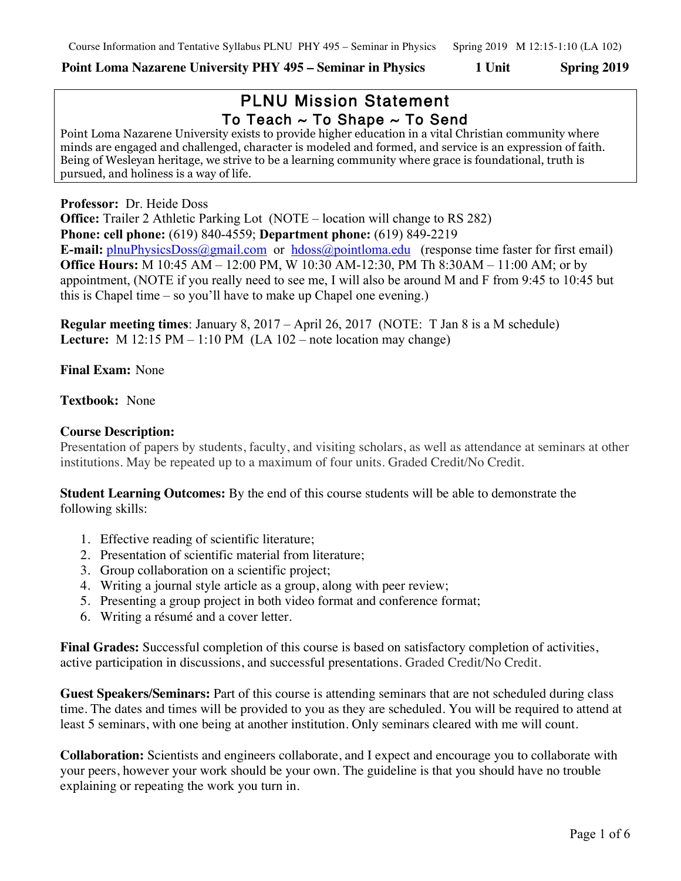# **Point Loma Nazarene University PHY 495 – Seminar in Physics 1 Unit Spring 2019**

# PLNU Mission Statement To Teach  $\sim$  To Shape  $\sim$  To Send

Point Loma Nazarene University exists to provide higher education in a vital Christian community where minds are engaged and challenged, character is modeled and formed, and service is an expression of faith. Being of Wesleyan heritage, we strive to be a learning community where grace is foundational, truth is pursued, and holiness is a way of life.

## **Professor:** Dr. Heide Doss

**Office:** Trailer 2 Athletic Parking Lot (NOTE – location will change to RS 282) **Phone: cell phone:** (619) 840-4559; **Department phone:** (619) 849-2219 **E-mail:** plnuPhysicsDoss@gmail.com or hdoss@pointloma.edu (response time faster for first email) **Office Hours:** M 10:45 AM – 12:00 PM, W 10:30 AM-12:30, PM Th 8:30AM – 11:00 AM; or by appointment, (NOTE if you really need to see me, I will also be around M and F from 9:45 to 10:45 but this is Chapel time – so you'll have to make up Chapel one evening.)

**Regular meeting times**: January 8, 2017 – April 26, 2017 (NOTE: T Jan 8 is a M schedule) **Lecture:** M 12:15 PM – 1:10 PM (LA 102 – note location may change)

#### **Final Exam:** None

# **Textbook:** None

# **Course Description:**

Presentation of papers by students, faculty, and visiting scholars, as well as attendance at seminars at other institutions. May be repeated up to a maximum of four units. Graded Credit/No Credit.

**Student Learning Outcomes:** By the end of this course students will be able to demonstrate the following skills:

- 1. Effective reading of scientific literature;
- 2. Presentation of scientific material from literature;
- 3. Group collaboration on a scientific project;
- 4. Writing a journal style article as a group, along with peer review;
- 5. Presenting a group project in both video format and conference format;
- 6. Writing a résumé and a cover letter.

**Final Grades:** Successful completion of this course is based on satisfactory completion of activities, active participation in discussions, and successful presentations. Graded Credit/No Credit.

**Guest Speakers/Seminars:** Part of this course is attending seminars that are not scheduled during class time. The dates and times will be provided to you as they are scheduled. You will be required to attend at least 5 seminars, with one being at another institution. Only seminars cleared with me will count.

**Collaboration:** Scientists and engineers collaborate, and I expect and encourage you to collaborate with your peers, however your work should be your own. The guideline is that you should have no trouble explaining or repeating the work you turn in.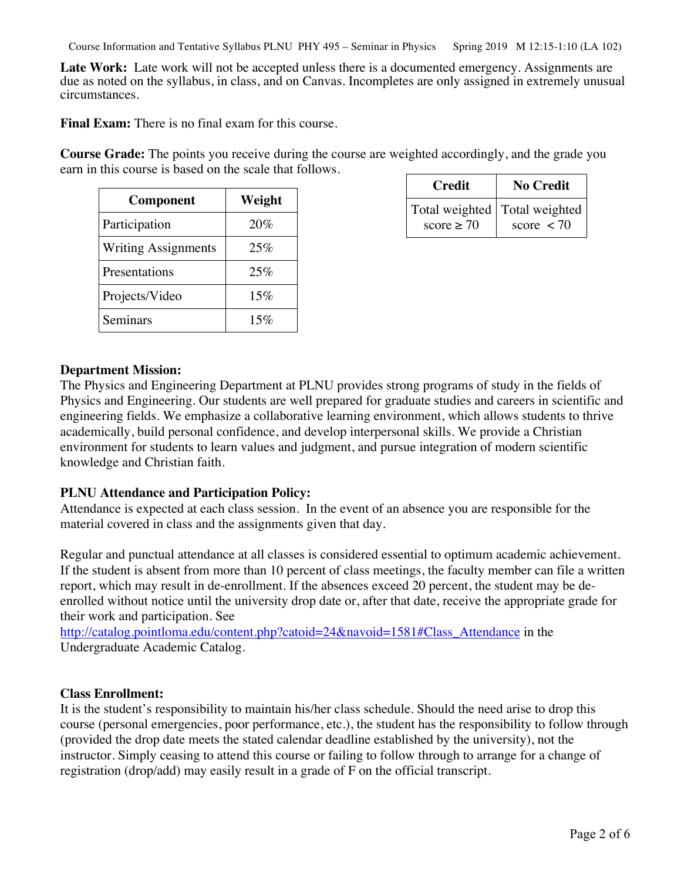Course Information and Tentative Syllabus PLNU PHY 495 – Seminar in Physics Spring 2019 M 12:15-1:10 (LA 102)

Late Work: Late work will not be accepted unless there is a documented emergency. Assignments are due as noted on the syllabus, in class, and on Canvas. Incompletes are only assigned in extremely unusual circumstances.

**Final Exam:** There is no final exam for this course.

**Course Grade:** The points you receive during the course are weighted accordingly, and the grade you earn in this course is based on the scale that follows.

| Component                  | Weight |
|----------------------------|--------|
| Participation              | 20%    |
| <b>Writing Assignments</b> | 25%    |
| Presentations              | 25%    |
| Projects/Video             | 15%    |
| Seminars                   | 15%    |

| Credit                                          | <b>No Credit</b>           |
|-------------------------------------------------|----------------------------|
| Total weighted   Total weighted<br>score $> 70$ | score $\langle 70 \rangle$ |

#### **Department Mission:**

The Physics and Engineering Department at PLNU provides strong programs of study in the fields of Physics and Engineering. Our students are well prepared for graduate studies and careers in scientific and engineering fields. We emphasize a collaborative learning environment, which allows students to thrive academically, build personal confidence, and develop interpersonal skills. We provide a Christian environment for students to learn values and judgment, and pursue integration of modern scientific knowledge and Christian faith.

### **PLNU Attendance and Participation Policy:**

Attendance is expected at each class session. In the event of an absence you are responsible for the material covered in class and the assignments given that day.

Regular and punctual attendance at all classes is considered essential to optimum academic achievement. If the student is absent from more than 10 percent of class meetings, the faculty member can file a written report, which may result in de-enrollment. If the absences exceed 20 percent, the student may be deenrolled without notice until the university drop date or, after that date, receive the appropriate grade for their work and participation. See

http://catalog.pointloma.edu/content.php?catoid=24&navoid=1581#Class\_Attendance in the Undergraduate Academic Catalog.

#### **Class Enrollment:**

It is the student's responsibility to maintain his/her class schedule. Should the need arise to drop this course (personal emergencies, poor performance, etc.), the student has the responsibility to follow through (provided the drop date meets the stated calendar deadline established by the university), not the instructor. Simply ceasing to attend this course or failing to follow through to arrange for a change of registration (drop/add) may easily result in a grade of F on the official transcript.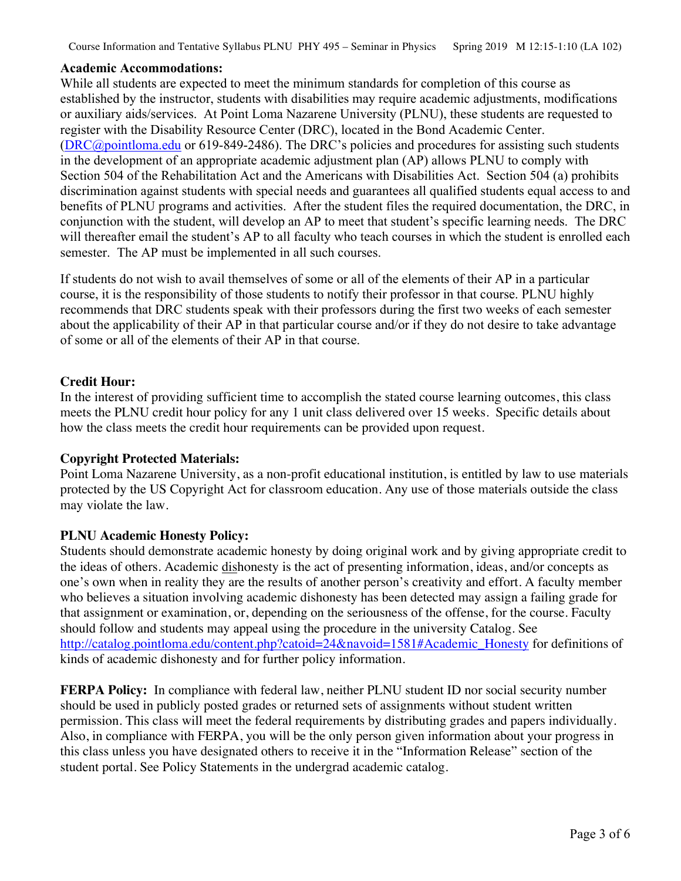Course Information and Tentative Syllabus PLNU PHY 495 – Seminar in Physics Spring 2019 M 12:15-1:10 (LA 102)

### **Academic Accommodations:**

While all students are expected to meet the minimum standards for completion of this course as established by the instructor, students with disabilities may require academic adjustments, modifications or auxiliary aids/services. At Point Loma Nazarene University (PLNU), these students are requested to register with the Disability Resource Center (DRC), located in the Bond Academic Center. (DRC@pointloma.edu or 619-849-2486). The DRC's policies and procedures for assisting such students in the development of an appropriate academic adjustment plan (AP) allows PLNU to comply with Section 504 of the Rehabilitation Act and the Americans with Disabilities Act. Section 504 (a) prohibits discrimination against students with special needs and guarantees all qualified students equal access to and benefits of PLNU programs and activities. After the student files the required documentation, the DRC, in conjunction with the student, will develop an AP to meet that student's specific learning needs. The DRC will thereafter email the student's AP to all faculty who teach courses in which the student is enrolled each semester. The AP must be implemented in all such courses.

If students do not wish to avail themselves of some or all of the elements of their AP in a particular course, it is the responsibility of those students to notify their professor in that course. PLNU highly recommends that DRC students speak with their professors during the first two weeks of each semester about the applicability of their AP in that particular course and/or if they do not desire to take advantage of some or all of the elements of their AP in that course.

# **Credit Hour:**

In the interest of providing sufficient time to accomplish the stated course learning outcomes, this class meets the PLNU credit hour policy for any 1 unit class delivered over 15 weeks. Specific details about how the class meets the credit hour requirements can be provided upon request.

# **Copyright Protected Materials:**

Point Loma Nazarene University, as a non-profit educational institution, is entitled by law to use materials protected by the US Copyright Act for classroom education. Any use of those materials outside the class may violate the law.

# **PLNU Academic Honesty Policy:**

Students should demonstrate academic honesty by doing original work and by giving appropriate credit to the ideas of others. Academic dishonesty is the act of presenting information, ideas, and/or concepts as one's own when in reality they are the results of another person's creativity and effort. A faculty member who believes a situation involving academic dishonesty has been detected may assign a failing grade for that assignment or examination, or, depending on the seriousness of the offense, for the course. Faculty should follow and students may appeal using the procedure in the university Catalog. See http://catalog.pointloma.edu/content.php?catoid=24&navoid=1581#Academic\_Honesty for definitions of kinds of academic dishonesty and for further policy information.

**FERPA Policy:** In compliance with federal law, neither PLNU student ID nor social security number should be used in publicly posted grades or returned sets of assignments without student written permission. This class will meet the federal requirements by distributing grades and papers individually. Also, in compliance with FERPA, you will be the only person given information about your progress in this class unless you have designated others to receive it in the "Information Release" section of the student portal. See Policy Statements in the undergrad academic catalog.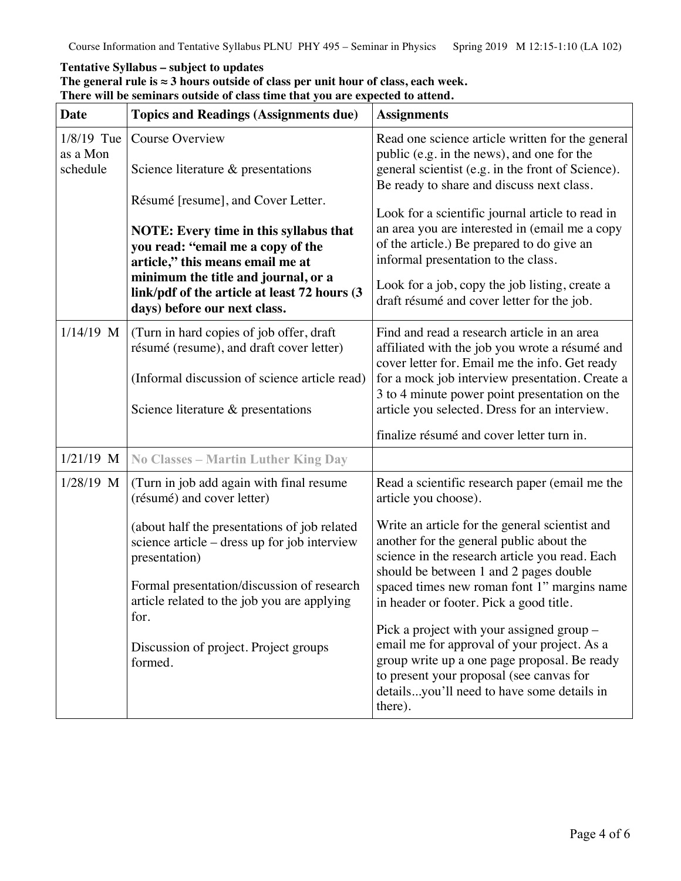# **Tentative Syllabus – subject to updates**

|  |  | The general rule is $\approx$ 3 hours outside of class per unit hour of class, each week. |  |
|--|--|-------------------------------------------------------------------------------------------|--|
|  |  | There will be seminars outside of class time that you are expected to attend.             |  |

| <b>Date</b>                          | <b>Topics and Readings (Assignments due)</b>                                                                                                                                                                                                                                        | <b>Assignments</b>                                                                                                                                                                                                                                                                                                                                |  |
|--------------------------------------|-------------------------------------------------------------------------------------------------------------------------------------------------------------------------------------------------------------------------------------------------------------------------------------|---------------------------------------------------------------------------------------------------------------------------------------------------------------------------------------------------------------------------------------------------------------------------------------------------------------------------------------------------|--|
| $1/8/19$ Tue<br>as a Mon<br>schedule | Course Overview<br>Science literature & presentations                                                                                                                                                                                                                               | Read one science article written for the general<br>public (e.g. in the news), and one for the<br>general scientist (e.g. in the front of Science).<br>Be ready to share and discuss next class.                                                                                                                                                  |  |
|                                      | Résumé [resume], and Cover Letter.<br><b>NOTE:</b> Every time in this syllabus that<br>you read: "email me a copy of the<br>article," this means email me at<br>minimum the title and journal, or a<br>link/pdf of the article at least 72 hours (3<br>days) before our next class. | Look for a scientific journal article to read in<br>an area you are interested in (email me a copy<br>of the article.) Be prepared to do give an<br>informal presentation to the class.<br>Look for a job, copy the job listing, create a<br>draft résumé and cover letter for the job.                                                           |  |
| $1/14/19$ M                          | (Turn in hard copies of job offer, draft<br>résumé (resume), and draft cover letter)<br>(Informal discussion of science article read)<br>Science literature & presentations                                                                                                         | Find and read a research article in an area<br>affiliated with the job you wrote a résumé and<br>cover letter for. Email me the info. Get ready<br>for a mock job interview presentation. Create a<br>3 to 4 minute power point presentation on the<br>article you selected. Dress for an interview.<br>finalize résumé and cover letter turn in. |  |
| $1/21/19$ M                          | <b>No Classes - Martin Luther King Day</b>                                                                                                                                                                                                                                          |                                                                                                                                                                                                                                                                                                                                                   |  |
| 1/28/19 M                            | (Turn in job add again with final resume<br>(résumé) and cover letter)                                                                                                                                                                                                              | Read a scientific research paper (email me the<br>article you choose).                                                                                                                                                                                                                                                                            |  |
|                                      | (about half the presentations of job related<br>science article – dress up for job interview<br>presentation)<br>Formal presentation/discussion of research<br>article related to the job you are applying                                                                          | Write an article for the general scientist and<br>another for the general public about the<br>science in the research article you read. Each<br>should be between 1 and 2 pages double<br>spaced times new roman font 1" margins name<br>in header or footer. Pick a good title.                                                                  |  |
|                                      | for.<br>Discussion of project. Project groups<br>formed.                                                                                                                                                                                                                            | Pick a project with your assigned group -<br>email me for approval of your project. As a<br>group write up a one page proposal. Be ready<br>to present your proposal (see canvas for<br>detailsyou'll need to have some details in<br>there).                                                                                                     |  |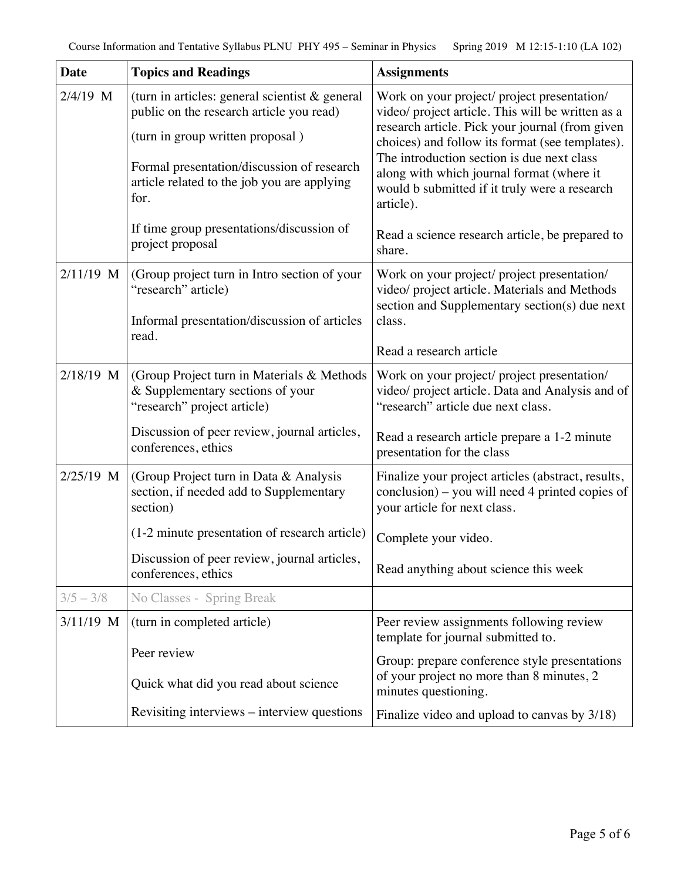| <b>Date</b> | <b>Topics and Readings</b>                                                                                                                                                                                                             | <b>Assignments</b>                                                                                                                                                                                                                                                                                                                                              |
|-------------|----------------------------------------------------------------------------------------------------------------------------------------------------------------------------------------------------------------------------------------|-----------------------------------------------------------------------------------------------------------------------------------------------------------------------------------------------------------------------------------------------------------------------------------------------------------------------------------------------------------------|
| 2/4/19 M    | (turn in articles: general scientist $\&$ general<br>public on the research article you read)<br>(turn in group written proposal)<br>Formal presentation/discussion of research<br>article related to the job you are applying<br>for. | Work on your project/ project presentation/<br>video/ project article. This will be written as a<br>research article. Pick your journal (from given<br>choices) and follow its format (see templates).<br>The introduction section is due next class<br>along with which journal format (where it<br>would b submitted if it truly were a research<br>article). |
|             | If time group presentations/discussion of<br>project proposal                                                                                                                                                                          | Read a science research article, be prepared to<br>share.                                                                                                                                                                                                                                                                                                       |
| 2/11/19 M   | (Group project turn in Intro section of your<br>"research" article)<br>Informal presentation/discussion of articles<br>read.                                                                                                           | Work on your project/ project presentation/<br>video/ project article. Materials and Methods<br>section and Supplementary section(s) due next<br>class.<br>Read a research article                                                                                                                                                                              |
| 2/18/19 M   | (Group Project turn in Materials & Methods<br>& Supplementary sections of your<br>"research" project article)                                                                                                                          | Work on your project/ project presentation/<br>video/ project article. Data and Analysis and of<br>"research" article due next class.                                                                                                                                                                                                                           |
|             | Discussion of peer review, journal articles,<br>conferences, ethics                                                                                                                                                                    | Read a research article prepare a 1-2 minute<br>presentation for the class                                                                                                                                                                                                                                                                                      |
| $2/25/19$ M | (Group Project turn in Data & Analysis<br>section, if needed add to Supplementary<br>section)                                                                                                                                          | Finalize your project articles (abstract, results,<br>conclusion) – you will need 4 printed copies of<br>your article for next class.                                                                                                                                                                                                                           |
|             | (1-2 minute presentation of research article)                                                                                                                                                                                          | Complete your video.                                                                                                                                                                                                                                                                                                                                            |
|             | Discussion of peer review, journal articles,<br>conferences, ethics                                                                                                                                                                    | Read anything about science this week                                                                                                                                                                                                                                                                                                                           |
| $3/5 - 3/8$ | No Classes - Spring Break                                                                                                                                                                                                              |                                                                                                                                                                                                                                                                                                                                                                 |
| $3/11/19$ M | (turn in completed article)                                                                                                                                                                                                            | Peer review assignments following review<br>template for journal submitted to.                                                                                                                                                                                                                                                                                  |
|             | Peer review<br>Quick what did you read about science                                                                                                                                                                                   | Group: prepare conference style presentations<br>of your project no more than 8 minutes, 2<br>minutes questioning.                                                                                                                                                                                                                                              |
|             | Revisiting interviews - interview questions                                                                                                                                                                                            | Finalize video and upload to canvas by 3/18)                                                                                                                                                                                                                                                                                                                    |